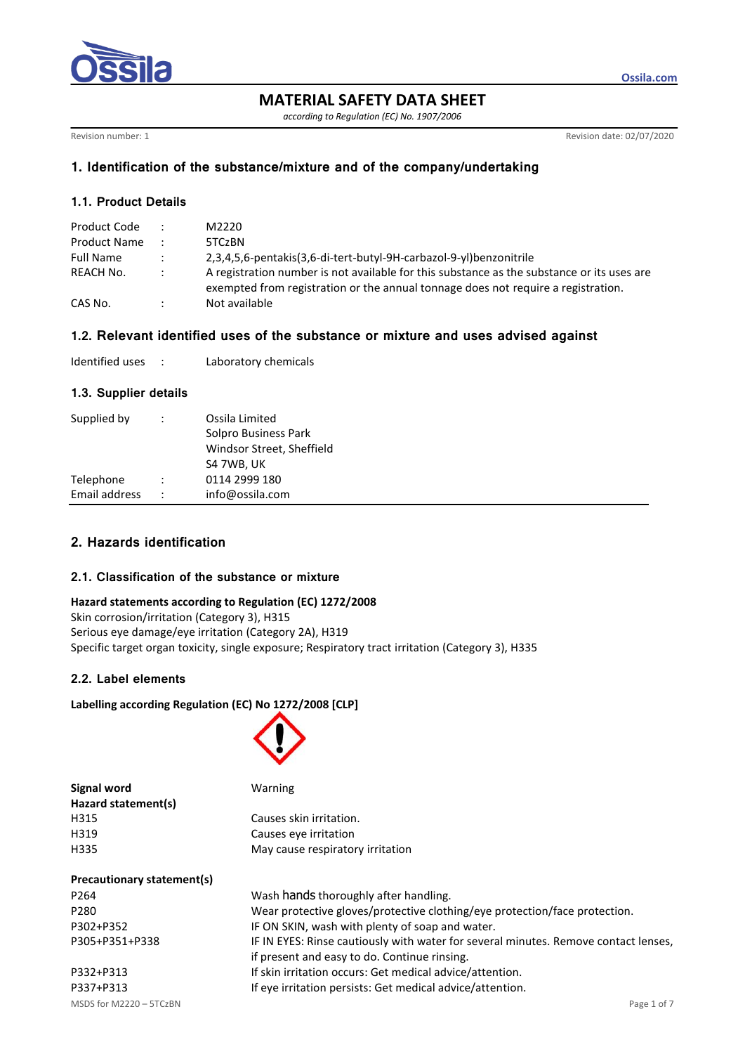

**MATERIAL SAFETY DATA SHEET**

*according to Regulation (EC) No. 1907/2006*

Revision number: 1 Revision date: 02/07/2020

**Ossila.com**

## **1. Identification of the substance/mixture and of the company/undertaking**

## **1.1. Product Details**

| Product Code        | $\mathcal{L}$ | M2220                                                                                                                                                                           |
|---------------------|---------------|---------------------------------------------------------------------------------------------------------------------------------------------------------------------------------|
| <b>Product Name</b> |               | 5TCzBN                                                                                                                                                                          |
| <b>Full Name</b>    | $\mathcal{L}$ | 2,3,4,5,6-pentakis(3,6-di-tert-butyl-9H-carbazol-9-yl)benzonitrile                                                                                                              |
| REACH No.           | $\mathcal{L}$ | A registration number is not available for this substance as the substance or its uses are<br>exempted from registration or the annual tonnage does not require a registration. |
| CAS No.             |               | Not available                                                                                                                                                                   |

### **1.2. Relevant identified uses of the substance or mixture and uses advised against**

| Identified uses |  | Laboratory chemicals |
|-----------------|--|----------------------|
|-----------------|--|----------------------|

### **1.3. Supplier details**

| Supplied by                |                      | Ossila Limited<br>Solpro Business Park<br>Windsor Street, Sheffield<br>S4 7WB, UK |
|----------------------------|----------------------|-----------------------------------------------------------------------------------|
| Telephone<br>Email address | $\ddot{\phantom{0}}$ | 0114 2999 180<br>info@ossila.com                                                  |

# **2. Hazards identification**

### **2.1. Classification of the substance or mixture**

### **Hazard statements according to Regulation (EC) 1272/2008**

Skin corrosion/irritation (Category 3), H315 Serious eye damage/eye irritation (Category 2A), H319 Specific target organ toxicity, single exposure; Respiratory tract irritation (Category 3), H335

## **2.2. Label elements**

## **Labelling according Regulation (EC) No 1272/2008 [CLP]**



| Warning                                                                             |
|-------------------------------------------------------------------------------------|
|                                                                                     |
| Causes skin irritation.                                                             |
| Causes eye irritation                                                               |
| May cause respiratory irritation                                                    |
|                                                                                     |
|                                                                                     |
| Wash hands thoroughly after handling.                                               |
| Wear protective gloves/protective clothing/eye protection/face protection.          |
| IF ON SKIN, wash with plenty of soap and water.                                     |
| IF IN EYES: Rinse cautiously with water for several minutes. Remove contact lenses, |
|                                                                                     |

if present and easy to do. Continue rinsing.

MSDS for M2220 – 5TCzBN Page 1 of 7 P332+P313 If skin irritation occurs: Get medical advice/attention. P337+P313 If eye irritation persists: Get medical advice/attention.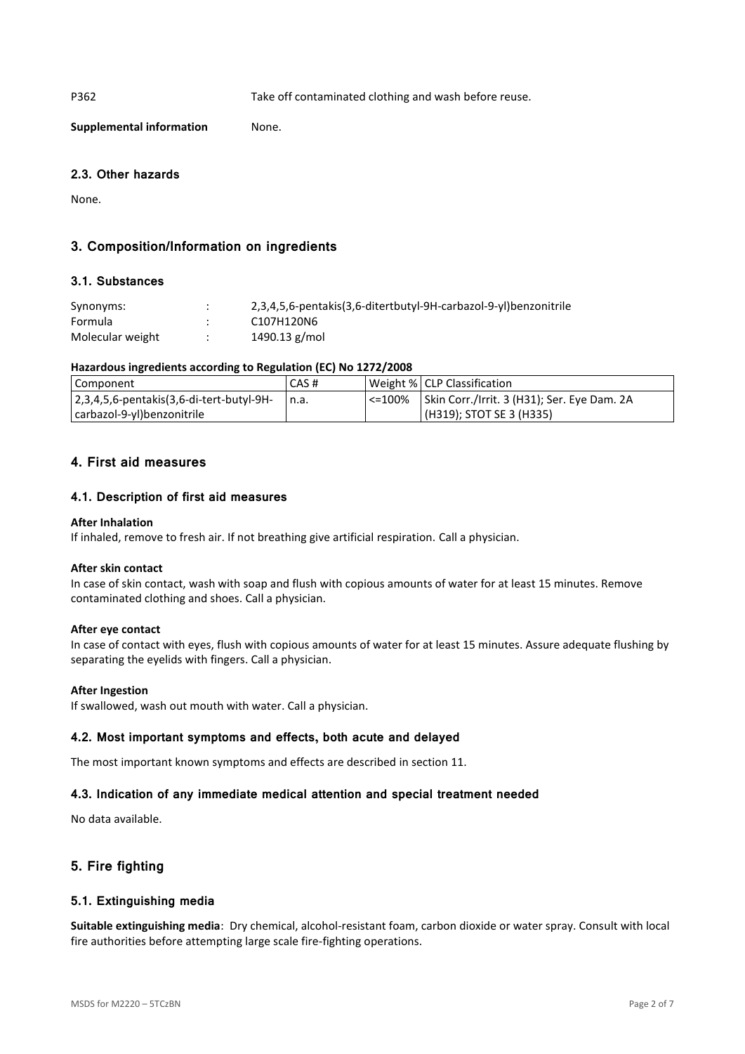P362 Take off contaminated clothing and wash before reuse.

**Supplemental information** None.

## **2.3. Other hazards**

None.

# **3. Composition/Information on ingredients**

### **3.1. Substances**

| Synonyms:        | $\bullet$<br>$\bullet$ | 2,3,4,5,6-pentakis(3,6-ditertbutyl-9H-carbazol-9-yl)benzonitrile |
|------------------|------------------------|------------------------------------------------------------------|
| Formula          |                        | C107H120N6                                                       |
| Molecular weight |                        | 1490.13 g/mol                                                    |

### **Hazardous ingredients according to Regulation (EC) No 1272/2008**

| Component                                        | CAS# | Weight %   CLP Classification                        |
|--------------------------------------------------|------|------------------------------------------------------|
| $ 2,3,4,5,6$ -pentakis $(3,6$ -di-tert-butyl-9H- | n.a. | <=100%   Skin Corr./Irrit. 3 (H31); Ser. Eye Dam. 2A |
| carbazol-9-yl)benzonitrile                       |      | (H319); STOT SE 3 (H335)                             |

# **4. First aid measures**

## **4.1. Description of first aid measures**

#### **After Inhalation**

If inhaled, remove to fresh air. If not breathing give artificial respiration. Call a physician.

#### **After skin contact**

In case of skin contact, wash with soap and flush with copious amounts of water for at least 15 minutes. Remove contaminated clothing and shoes. Call a physician.

### **After eye contact**

In case of contact with eyes, flush with copious amounts of water for at least 15 minutes. Assure adequate flushing by separating the eyelids with fingers. Call a physician.

#### **After Ingestion**

If swallowed, wash out mouth with water. Call a physician.

### **4.2. Most important symptoms and effects, both acute and delayed**

The most important known symptoms and effects are described in section 11.

### **4.3. Indication of any immediate medical attention and special treatment needed**

No data available.

# **5. Fire fighting**

### **5.1. Extinguishing media**

**Suitable extinguishing media**: Dry chemical, alcohol-resistant foam, carbon dioxide or water spray. Consult with local fire authorities before attempting large scale fire-fighting operations.

MSDS for M2220 – 5TCzBN Page 2 of 7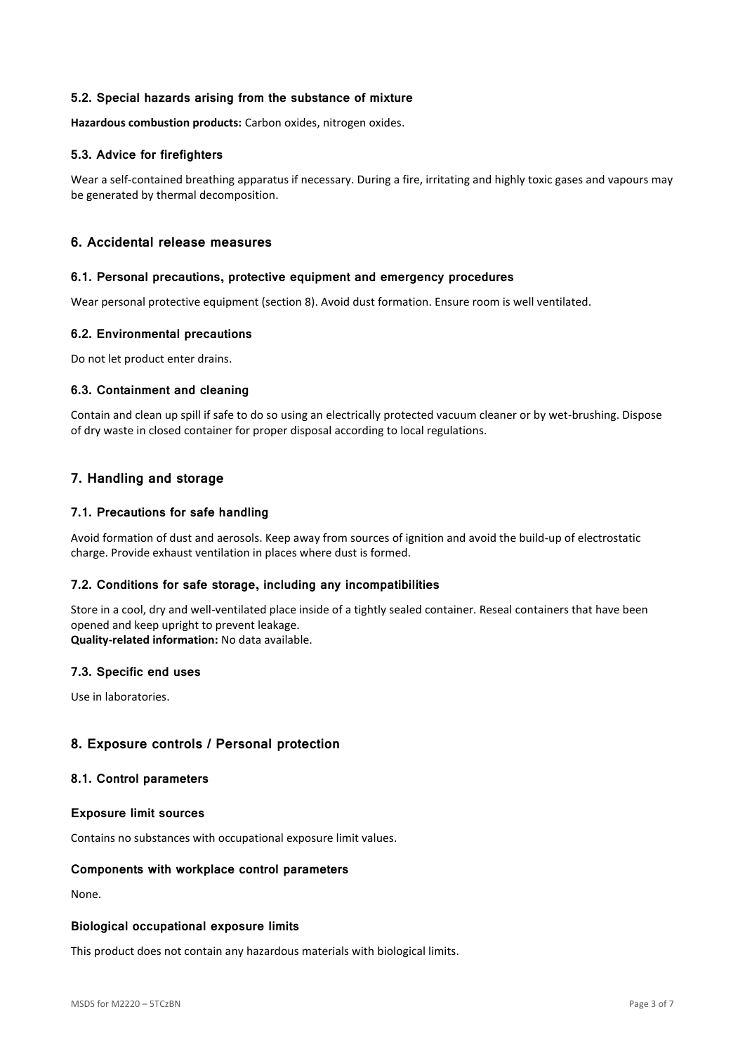### **5.2. Special hazards arising from the substance of mixture**

**Hazardous combustion products:** Carbon oxides, nitrogen oxides.

### **5.3. Advice for firefighters**

Wear a self-contained breathing apparatus if necessary. During a fire, irritating and highly toxic gases and vapours may be generated by thermal decomposition.

## **6. Accidental release measures**

#### **6.1. Personal precautions, protective equipment and emergency procedures**

Wear personal protective equipment (section 8). Avoid dust formation. Ensure room is well ventilated.

### **6.2. Environmental precautions**

Do not let product enter drains.

### **6.3. Containment and cleaning**

Contain and clean up spill if safe to do so using an electrically protected vacuum cleaner or by wet-brushing. Dispose of dry waste in closed container for proper disposal according to local regulations.

## **7. Handling and storage**

### **7.1. Precautions for safe handling**

Avoid formation of dust and aerosols. Keep away from sources of ignition and avoid the build-up of electrostatic charge. Provide exhaust ventilation in places where dust is formed.

### **7.2. Conditions for safe storage, including any incompatibilities**

Store in a cool, dry and well-ventilated place inside of a tightly sealed container. Reseal containers that have been opened and keep upright to prevent leakage.

**Quality-related information:** No data available.

### **7.3. Specific end uses**

Use in laboratories.

### **8. Exposure controls / Personal protection**

#### **8.1. Control parameters**

#### **Exposure limit sources**

Contains no substances with occupational exposure limit values.

### **Components with workplace control parameters**

None.

#### **Biological occupational exposure limits**

This product does not contain any hazardous materials with biological limits.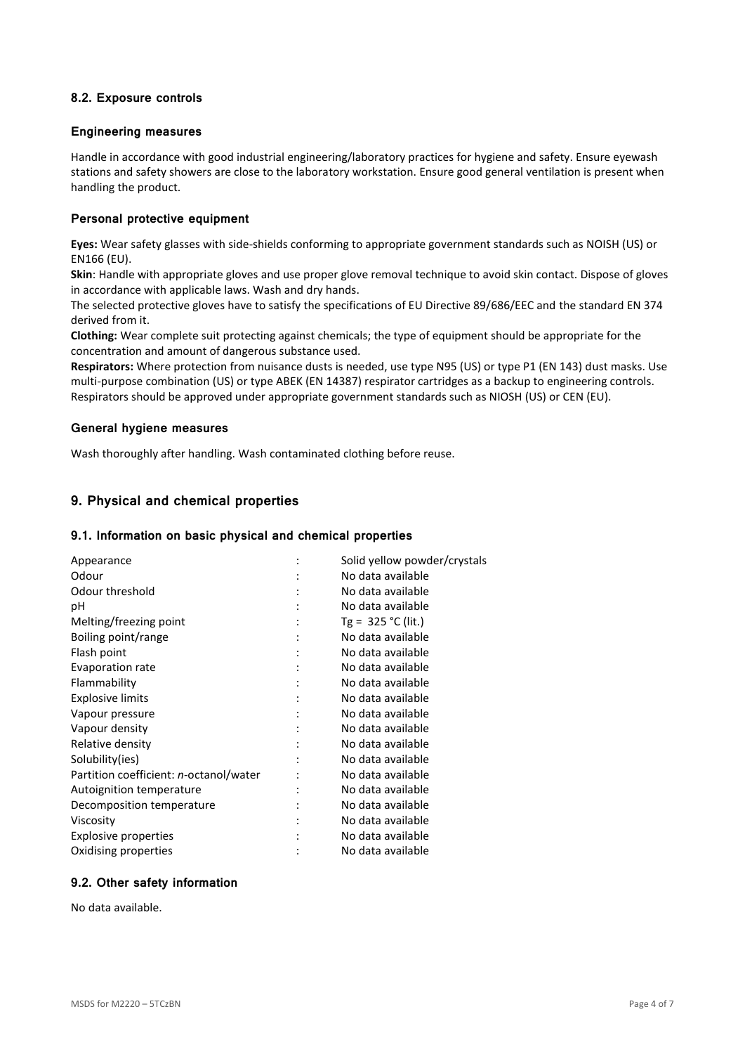## **8.2. Exposure controls**

#### **Engineering measures**

Handle in accordance with good industrial engineering/laboratory practices for hygiene and safety. Ensure eyewash stations and safety showers are close to the laboratory workstation. Ensure good general ventilation is present when handling the product.

### **Personal protective equipment**

**Eyes:** Wear safety glasses with side-shields conforming to appropriate government standards such as NOISH (US) or EN166 (EU).

**Skin**: Handle with appropriate gloves and use proper glove removal technique to avoid skin contact. Dispose of gloves in accordance with applicable laws. Wash and dry hands.

The selected protective gloves have to satisfy the specifications of EU Directive 89/686/EEC and the standard EN 374 derived from it.

**Clothing:** Wear complete suit protecting against chemicals; the type of equipment should be appropriate for the concentration and amount of dangerous substance used.

**Respirators:** Where protection from nuisance dusts is needed, use type N95 (US) or type P1 (EN 143) dust masks. Use multi-purpose combination (US) or type ABEK (EN 14387) respirator cartridges as a backup to engineering controls. Respirators should be approved under appropriate government standards such as NIOSH (US) or CEN (EU).

#### **General hygiene measures**

Wash thoroughly after handling. Wash contaminated clothing before reuse.

## **9. Physical and chemical properties**

#### **9.1. Information on basic physical and chemical properties**

| Appearance                             |   | Solid yellow powder/crystals |
|----------------------------------------|---|------------------------------|
| Odour                                  |   | No data available            |
| Odour threshold                        |   | No data available            |
| рH                                     |   | No data available            |
| Melting/freezing point                 |   | Tg = $325 °C$ (lit.)         |
| Boiling point/range                    |   | No data available            |
| Flash point                            | ٠ | No data available            |
| Evaporation rate                       |   | No data available            |
| Flammability                           |   | No data available            |
| <b>Explosive limits</b>                |   | No data available            |
| Vapour pressure                        |   | No data available            |
| Vapour density                         |   | No data available            |
| Relative density                       |   | No data available            |
| Solubility(ies)                        |   | No data available            |
| Partition coefficient: n-octanol/water |   | No data available            |
| Autoignition temperature               |   | No data available            |
| Decomposition temperature              |   | No data available            |
| Viscosity                              |   | No data available            |
| <b>Explosive properties</b>            |   | No data available            |
| Oxidising properties                   |   | No data available            |

## **9.2. Other safety information**

No data available.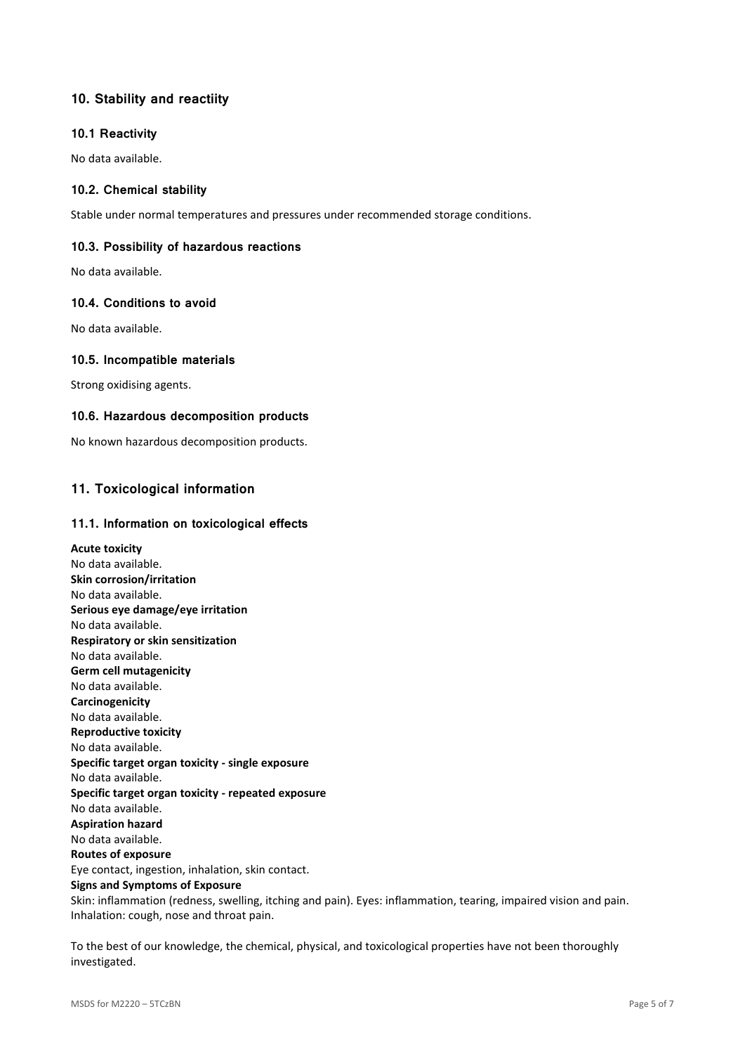# **10. Stability and reactiity**

### **10.1 Reactivity**

No data available.

## **10.2. Chemical stability**

Stable under normal temperatures and pressures under recommended storage conditions.

## **10.3. Possibility of hazardous reactions**

No data available.

### **10.4. Conditions to avoid**

No data available.

### **10.5. Incompatible materials**

Strong oxidising agents.

### **10.6. Hazardous decomposition products**

No known hazardous decomposition products.

# **11. Toxicological information**

### **11.1. Information on toxicological effects**

**Acute toxicity** No data available. **Skin corrosion/irritation** No data available. **Serious eye damage/eye irritation** No data available. **Respiratory or skin sensitization** No data available. **Germ cell mutagenicity** No data available. **Carcinogenicity** No data available. **Reproductive toxicity** No data available. **Specific target organ toxicity - single exposure** No data available. **Specific target organ toxicity - repeated exposure** No data available. **Aspiration hazard** No data available. **Routes of exposure** Eye contact, ingestion, inhalation, skin contact. **Signs and Symptoms of Exposure** Skin: inflammation (redness, swelling, itching and pain). Eyes: inflammation, tearing, impaired vision and pain. Inhalation: cough, nose and throat pain.

To the best of our knowledge, the chemical, physical, and toxicological properties have not been thoroughly investigated.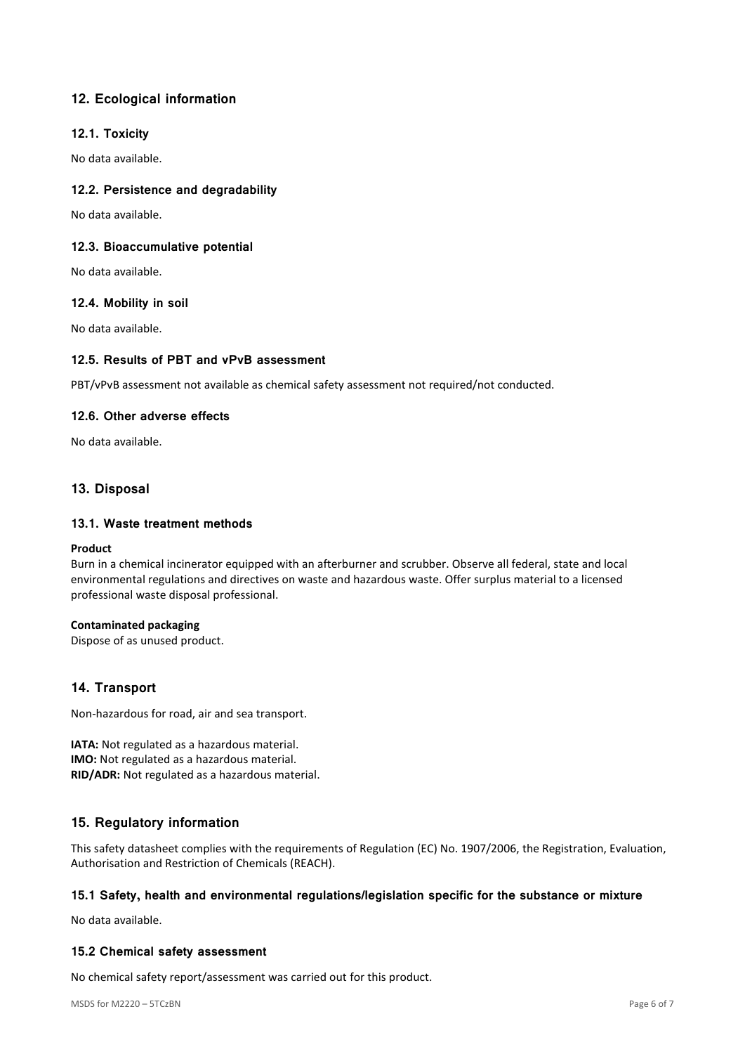# **12. Ecological information**

### **12.1. Toxicity**

No data available.

## **12.2. Persistence and degradability**

No data available.

### **12.3. Bioaccumulative potential**

No data available.

### **12.4. Mobility in soil**

No data available.

### **12.5. Results of PBT and vPvB assessment**

PBT/vPvB assessment not available as chemical safety assessment not required/not conducted.

### **12.6. Other adverse effects**

No data available.

# **13. Disposal**

### **13.1. Waste treatment methods**

#### **Product**

Burn in a chemical incinerator equipped with an afterburner and scrubber. Observe all federal, state and local environmental regulations and directives on waste and hazardous waste. Offer surplus material to a licensed professional waste disposal professional.

### **Contaminated packaging**

Dispose of as unused product.

# **14. Transport**

Non-hazardous for road, air and sea transport.

**IATA:** Not regulated as a hazardous material. **IMO:** Not regulated as a hazardous material. **RID/ADR:** Not regulated as a hazardous material.

# **15. Regulatory information**

This safety datasheet complies with the requirements of Regulation (EC) No. 1907/2006, the Registration, Evaluation, Authorisation and Restriction of Chemicals (REACH).

### **15.1 Safety, health and environmental regulations/legislation specific for the substance or mixture**

No data available.

### **15.2 Chemical safety assessment**

No chemical safety report/assessment was carried out for this product.